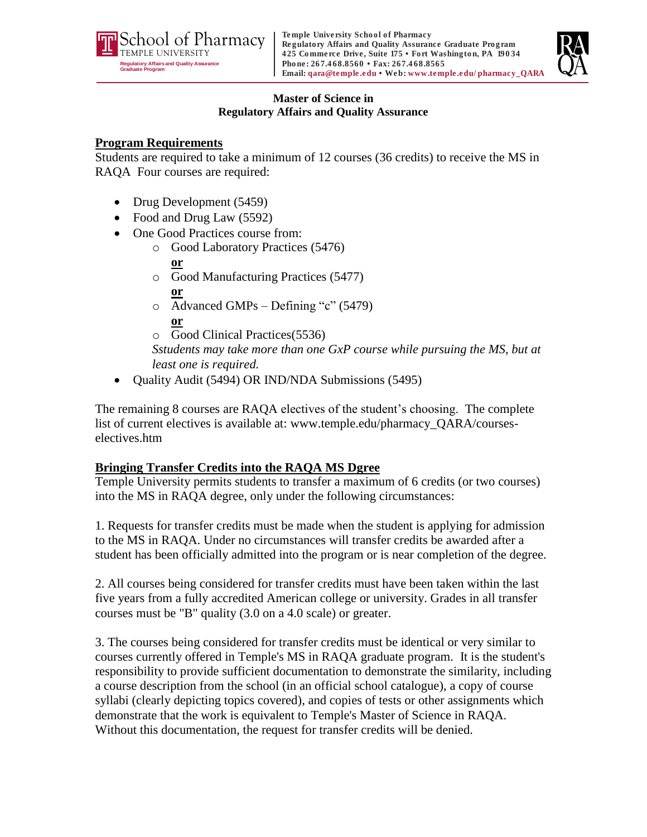



#### **Master of Science in Regulatory Affairs and Quality Assurance**

## **Program Requirements**

Students are required to take a minimum of 12 courses (36 credits) to receive the MS in RAQA Four courses are required:

- Drug Development (5459)
- Food and Drug Law (5592)
- One Good Practices course from:
	- o Good Laboratory Practices (5476)

### **or**

- o Good Manufacturing Practices (5477) **or**
- o Advanced GMPs Defining "c" (5479) **or**
- o Good Clinical Practices(5536)

*Sstudents may take more than one GxP course while pursuing the MS, but at least one is required.*

• Ouality Audit (5494) OR IND/NDA Submissions (5495)

The remaining 8 courses are RAQA electives of the student's choosing. The complete list of current electives is available at: www.temple.edu/pharmacy\_QARA/courseselectives.htm

# **Bringing Transfer Credits into the RAQA MS Dgree**

Temple University permits students to transfer a maximum of 6 credits (or two courses) into the MS in RAQA degree, only under the following circumstances:

1. Requests for transfer credits must be made when the student is applying for admission to the MS in RAQA. Under no circumstances will transfer credits be awarded after a student has been officially admitted into the program or is near completion of the degree.

2. All courses being considered for transfer credits must have been taken within the last five years from a fully accredited American college or university. Grades in all transfer courses must be "B" quality (3.0 on a 4.0 scale) or greater.

3. The courses being considered for transfer credits must be identical or very similar to courses currently offered in Temple's MS in RAQA graduate program. It is the student's responsibility to provide sufficient documentation to demonstrate the similarity, including a course description from the school (in an official school catalogue), a copy of course syllabi (clearly depicting topics covered), and copies of tests or other assignments which demonstrate that the work is equivalent to Temple's Master of Science in RAQA. Without this documentation, the request for transfer credits will be denied.